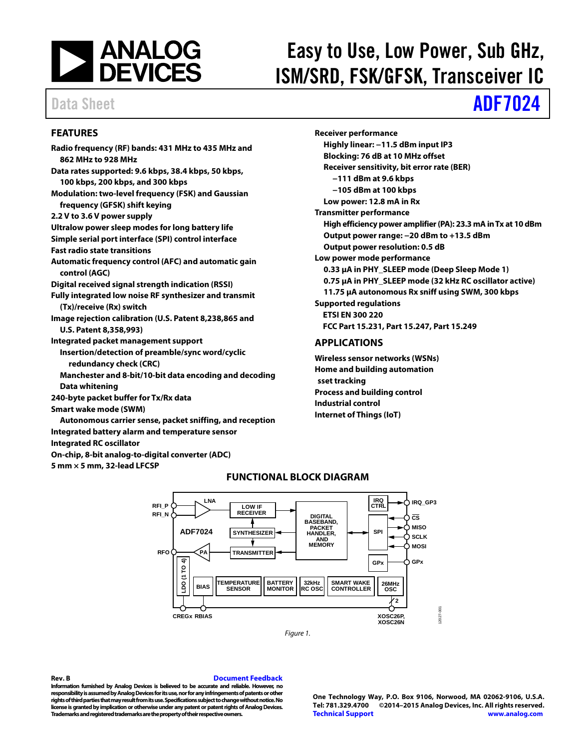

# Easy to Use, Low Power, Sub GHz, ISM/SRD, FSK/GFSK, Transceiver IC

# Data Sheet **[ADF7024](http://www.analog.com/ADF7024?doc=ADF7024.pdf)**

### <span id="page-0-0"></span>**FEATURES**

**Radio frequency (RF) bands: 431 MHz to 435 MHz and 862 MHz to 928 MHz Data rates supported: 9.6 kbps, 38.4 kbps, 50 kbps, 100 kbps, 200 kbps, and 300 kbps Modulation: two-level frequency (FSK) and Gaussian frequency (GFSK) shift keying 2.2 V to 3.6 V power supply Ultralow power sleep modes for long battery life Simple serial port interface (SPI) control interface Fast radio state transitions Automatic frequency control (AFC) and automatic gain control (AGC) Digital received signal strength indication (RSSI) Fully integrated low noise RF synthesizer and transmit (Tx)/receive (Rx) switch Image rejection calibration (U.S. Patent 8,238,865 and U.S. Patent 8,358,993) Integrated packet management support Insertion/detection of preamble/sync word/cyclic redundancy check (CRC) Manchester and 8-bit/10-bit data encoding and decoding Data whitening 240-byte packet buffer for Tx/Rx data Smart wake mode (SWM)** 

**Autonomous carrier sense, packet sniffing, and reception Integrated battery alarm and temperature sensor Integrated RC oscillator On-chip, 8-bit analog-to-digital converter (ADC)** 

<span id="page-0-2"></span>**5 mm × 5 mm, 32-lead LFCSP** 

**Receiver performance Highly linear: −11.5 dBm input IP3 Blocking: 76 dB at 10 MHz offset Receiver sensitivity, bit error rate (BER) −111 dBm at 9.6 kbps −105 dBm at 100 kbps Low power: 12.8 mA in Rx Transmitter performance High efficiency power amplifier (PA): 23.3 mA in Tx at 10 dBm Output power range: −20 dBm to +13.5 dBm Output power resolution: 0.5 dB Low power mode performance 0.33 μA in PHY\_SLEEP mode (Deep Sleep Mode 1) 0.75 μA in PHY\_SLEEP mode (32 kHz RC oscillator active) 11.75 μA autonomous Rx sniff using SWM, 300 kbps Supported regulations ETSI EN 300 220 FCC Part 15.231, Part 15.247, Part 15.249** 

### <span id="page-0-1"></span>**APPLICATIONS**

**Wireless sensor networks (WSNs) Home and building automation sset tracking Process and building control Industrial control Internet of Things (IoT)** 



**FUNCTIONAL BLOCK DIAGRAM** 

Figure 1.

**Rev. B [Document Feedback](https://form.analog.com/Form_Pages/feedback/documentfeedback.aspx?doc=ADF7024.pdf&product=ADF7024&rev=B) Information furnished by Analog Devices is believed to be accurate and reliable. However, no responsibility is assumed by Analog Devices for its use, nor for any infringements of patents or other rights of third parties that may result from its use. Specifications subject to change without notice. No** 

**Trademarks and registered trademarks are the property of their respective owners.** 

**license is granted by implication or otherwise under any patent or patent rights of Analog Devices.** 

**One Technology Way, P.O. Box 9106, Norwood, MA 02062-9106, U.S.A. Tel: 781.329.4700 ©2014–2015 Analog Devices, Inc. All rights reserved. [Technical Support](http://www.analog.com/en/content/technical_support_page/fca.html) [www.analog.com](http://www.analog.com/)**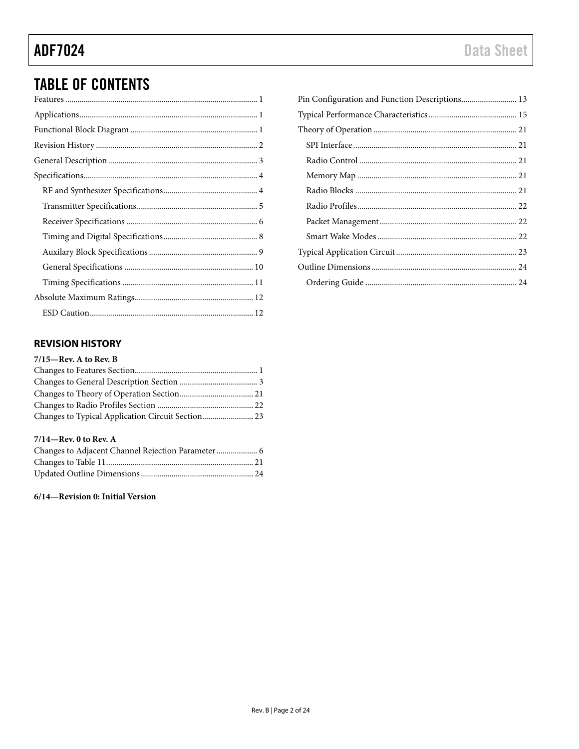## **TABLE OF CONTENTS**

### <span id="page-1-0"></span>**REVISION HISTORY**

| $7/15$ —Rev. A to Rev. B |  |
|--------------------------|--|
|                          |  |
|                          |  |
|                          |  |
|                          |  |
|                          |  |
|                          |  |

### 7/14-Rev. 0 to Rev. A

### 6/14-Revision 0: Initial Version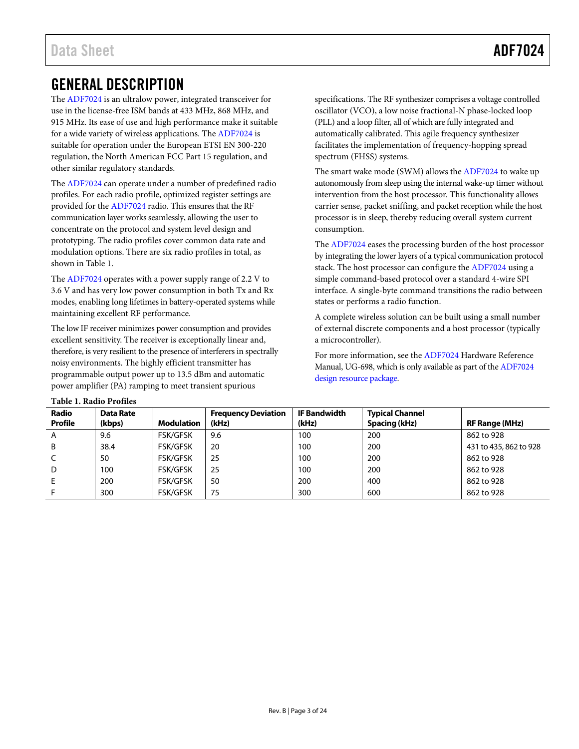## <span id="page-2-0"></span>GENERAL DESCRIPTION

The [ADF7024 i](http://www.analog.com/ADF7024?doc=ADF7024.pdf)s an ultralow power, integrated transceiver for use in the license-free ISM bands at 433 MHz, 868 MHz, and 915 MHz. Its ease of use and high performance make it suitable for a wide variety of wireless applications. Th[e ADF7024](http://www.analog.com/ADF7024?doc=ADF7024.pdf) is suitable for operation under the European ETSI EN 300-220 regulation, the North American FCC Part 15 regulation, and other similar regulatory standards.

The [ADF7024 c](http://www.analog.com/ADF7024?doc=ADF7024.pdf)an operate under a number of predefined radio profiles. For each radio profile, optimized register settings are provided for th[e ADF7024](http://www.analog.com/ADF7024?doc=ADF7024.pdf) radio. This ensures that the RF communication layer works seamlessly, allowing the user to concentrate on the protocol and system level design and prototyping. The radio profiles cover common data rate and modulation options. There are six radio profiles in total, as shown in [Table 1.](#page-2-1)

The [ADF7024 o](http://www.analog.com/ADF7024?doc=ADF7024.pdf)perates with a power supply range of 2.2 V to 3.6 V and has very low power consumption in both Tx and Rx modes, enabling long lifetimes in battery-operated systems while maintaining excellent RF performance.

The low IF receiver minimizes power consumption and provides excellent sensitivity. The receiver is exceptionally linear and, therefore, is very resilient to the presence of interferers in spectrally noisy environments. The highly efficient transmitter has programmable output power up to 13.5 dBm and automatic power amplifier (PA) ramping to meet transient spurious

specifications. The RF synthesizer comprises a voltage controlled oscillator (VCO), a low noise fractional-N phase-locked loop (PLL) and a loop filter, all of which are fully integrated and automatically calibrated. This agile frequency synthesizer facilitates the implementation of frequency-hopping spread spectrum (FHSS) systems.

The smart wake mode (SWM) allows th[e ADF7024](http://www.analog.com/ADF7024?doc=ADF7024.pdf) to wake up autonomously from sleep using the internal wake-up timer without intervention from the host processor. This functionality allows carrier sense, packet sniffing, and packet reception while the host processor is in sleep, thereby reducing overall system current consumption.

The [ADF7024 e](http://www.analog.com/ADF7024?doc=ADF7024.pdf)ases the processing burden of the host processor by integrating the lower layers of a typical communication protocol stack. The host processor can configure the [ADF7024 u](http://www.analog.com/ADF7024?doc=ADF7024.pdf)sing a simple command-based protocol over a standard 4-wire SPI interface. A single-byte command transitions the radio between states or performs a radio function.

A complete wireless solution can be built using a small number of external discrete components and a host processor (typically a microcontroller).

For more information, see th[e ADF7024 H](http://www.analog.com/ADF7024?doc=ADF7024.pdf)ardware Reference Manual, UG-698, which is only available as part of th[e ADF7024](http://www.analog.com/adf7024-design-pkgs?doc=ADF7024.pdf)  [design resource package.](http://www.analog.com/adf7024-design-pkgs?doc=ADF7024.pdf)

<span id="page-2-1"></span>

| Table 1. Radio Profiles |                     |                   |                                     |                              |                                         |                        |  |  |  |  |  |
|-------------------------|---------------------|-------------------|-------------------------------------|------------------------------|-----------------------------------------|------------------------|--|--|--|--|--|
| <b>Radio</b><br>Profile | Data Rate<br>(kbps) | <b>Modulation</b> | <b>Frequency Deviation</b><br>(kHz) | <b>IF Bandwidth</b><br>(kHz) | <b>Typical Channel</b><br>Spacing (kHz) | <b>RF Range (MHz)</b>  |  |  |  |  |  |
| A                       | 9.6                 | <b>FSK/GFSK</b>   | 9.6                                 | 100                          | 200                                     | 862 to 928             |  |  |  |  |  |
| B                       | 38.4                | <b>FSK/GFSK</b>   | 20                                  | 100                          | 200                                     | 431 to 435, 862 to 928 |  |  |  |  |  |
|                         | 50                  | <b>FSK/GFSK</b>   | 25                                  | 100                          | 200                                     | 862 to 928             |  |  |  |  |  |
| D                       | 100                 | <b>FSK/GFSK</b>   | 25                                  | 100                          | 200                                     | 862 to 928             |  |  |  |  |  |
| E                       | 200                 | <b>FSK/GFSK</b>   | 50                                  | 200                          | 400                                     | 862 to 928             |  |  |  |  |  |
|                         | 300                 | <b>FSK/GFSK</b>   | 75                                  | 300                          | 600                                     | 862 to 928             |  |  |  |  |  |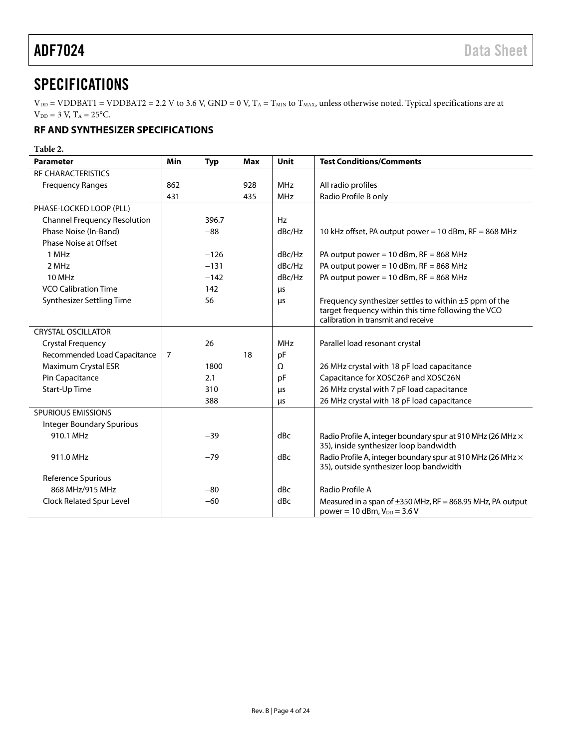## <span id="page-3-0"></span>SPECIFICATIONS

 $V_{DD}$  = VDDBAT1 = VDDBAT2 = 2.2 V to 3.6 V, GND = 0 V, T<sub>A</sub> = T<sub>MIN</sub> to T<sub>MAX</sub>, unless otherwise noted. Typical specifications are at  $V_{DD} = 3 V$ ,  $T_A = 25$ °C.

### <span id="page-3-1"></span>**RF AND SYNTHESIZER SPECIFICATIONS**

**Table 2.** 

| <b>Parameter</b>                    | <b>Min</b>     | <b>Typ</b> | Max | Unit       | <b>Test Conditions/Comments</b>                                                                               |
|-------------------------------------|----------------|------------|-----|------------|---------------------------------------------------------------------------------------------------------------|
| <b>RF CHARACTERISTICS</b>           |                |            |     |            |                                                                                                               |
| <b>Frequency Ranges</b>             | 862            |            | 928 | <b>MHz</b> | All radio profiles                                                                                            |
|                                     | 431            |            | 435 | <b>MHz</b> | Radio Profile B only                                                                                          |
| PHASE-LOCKED LOOP (PLL)             |                |            |     |            |                                                                                                               |
| <b>Channel Frequency Resolution</b> |                | 396.7      |     | Hz         |                                                                                                               |
| Phase Noise (In-Band)               |                | $-88$      |     | dBc/Hz     | 10 kHz offset, PA output power = 10 dBm, RF = 868 MHz                                                         |
| <b>Phase Noise at Offset</b>        |                |            |     |            |                                                                                                               |
| 1 MHz                               |                | $-126$     |     | dBc/Hz     | PA output power = $10$ dBm, RF = 868 MHz                                                                      |
| 2 MHz                               |                | $-131$     |     | dBc/Hz     | PA output power = $10$ dBm, RF = 868 MHz                                                                      |
| <b>10 MHz</b>                       |                | $-142$     |     | dBc/Hz     | PA output power = $10$ dBm, RF = 868 MHz                                                                      |
| <b>VCO Calibration Time</b>         |                | 142        |     | μs         |                                                                                                               |
| Synthesizer Settling Time           |                | 56         |     | μs         | Frequency synthesizer settles to within $\pm 5$ ppm of the                                                    |
|                                     |                |            |     |            | target frequency within this time following the VCO                                                           |
|                                     |                |            |     |            | calibration in transmit and receive                                                                           |
| <b>CRYSTAL OSCILLATOR</b>           |                |            |     |            |                                                                                                               |
| <b>Crystal Frequency</b>            |                | 26         |     | <b>MHz</b> | Parallel load resonant crystal                                                                                |
| Recommended Load Capacitance        | $\overline{7}$ |            | 18  | pF         |                                                                                                               |
| Maximum Crystal ESR                 |                | 1800       |     | Ω          | 26 MHz crystal with 18 pF load capacitance                                                                    |
| Pin Capacitance                     |                | 2.1        |     | pF         | Capacitance for XOSC26P and XOSC26N                                                                           |
| Start-Up Time                       |                | 310        |     | μs         | 26 MHz crystal with 7 pF load capacitance                                                                     |
|                                     |                | 388        |     | μs         | 26 MHz crystal with 18 pF load capacitance                                                                    |
| <b>SPURIOUS EMISSIONS</b>           |                |            |     |            |                                                                                                               |
| <b>Integer Boundary Spurious</b>    |                |            |     |            |                                                                                                               |
| 910.1 MHz                           |                | $-39$      |     | dBc        | Radio Profile A, integer boundary spur at 910 MHz (26 MHz ×<br>35), inside synthesizer loop bandwidth         |
| 911.0 MHz                           |                | $-79$      |     | dBc        | Radio Profile A, integer boundary spur at 910 MHz (26 MHz $\times$<br>35), outside synthesizer loop bandwidth |
| Reference Spurious                  |                |            |     |            |                                                                                                               |
| 868 MHz/915 MHz                     |                | $-80$      |     | dBc        | Radio Profile A                                                                                               |
| Clock Related Spur Level            |                | $-60$      |     | dBc        | Measured in a span of $\pm 350$ MHz, RF = 868.95 MHz, PA output<br>power = 10 dBm, $V_{DD}$ = 3.6 V           |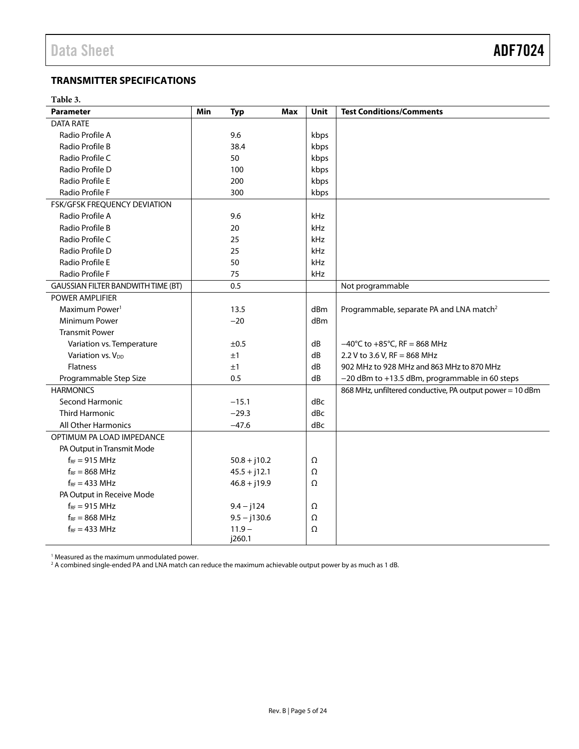### <span id="page-4-0"></span>**TRANSMITTER SPECIFICATIONS**

### **Table 3.**

| <b>Parameter</b>                          | Min<br><b>Typ</b> | <b>Max</b> | Unit | <b>Test Conditions/Comments</b>                          |
|-------------------------------------------|-------------------|------------|------|----------------------------------------------------------|
| <b>DATA RATE</b>                          |                   |            |      |                                                          |
| Radio Profile A                           | 9.6               |            | kbps |                                                          |
| Radio Profile B                           | 38.4              |            | kbps |                                                          |
| Radio Profile C                           | 50                |            | kbps |                                                          |
| Radio Profile D                           | 100               |            | kbps |                                                          |
| Radio Profile E                           | 200               |            | kbps |                                                          |
| Radio Profile F                           | 300               |            | kbps |                                                          |
| <b>FSK/GFSK FREQUENCY DEVIATION</b>       |                   |            |      |                                                          |
| Radio Profile A                           | 9.6               |            | kHz  |                                                          |
| Radio Profile B                           | 20                |            | kHz  |                                                          |
| Radio Profile C                           | 25                |            | kHz  |                                                          |
| Radio Profile D                           | 25                |            | kHz  |                                                          |
| Radio Profile E                           | 50                |            | kHz  |                                                          |
| Radio Profile F                           | 75                |            | kHz  |                                                          |
| <b>GAUSSIAN FILTER BANDWITH TIME (BT)</b> | 0.5               |            |      | Not programmable                                         |
| <b>POWER AMPLIFIER</b>                    |                   |            |      |                                                          |
| Maximum Power <sup>1</sup>                | 13.5              |            | dBm  | Programmable, separate PA and LNA match <sup>2</sup>     |
| Minimum Power                             | $-20$             |            | dBm  |                                                          |
| <b>Transmit Power</b>                     |                   |            |      |                                                          |
| Variation vs. Temperature                 | ±0.5              |            | dB   | $-40^{\circ}$ C to $+85^{\circ}$ C, RF = 868 MHz         |
| Variation vs. V <sub>DD</sub>             | ±1                |            | dB   | 2.2 V to 3.6 V, RF = 868 MHz                             |
| <b>Flatness</b>                           | ±1                |            | dB   | 902 MHz to 928 MHz and 863 MHz to 870 MHz                |
| Programmable Step Size                    | 0.5               |            | dB   | -20 dBm to +13.5 dBm, programmable in 60 steps           |
| <b>HARMONICS</b>                          |                   |            |      | 868 MHz, unfiltered conductive, PA output power = 10 dBm |
| Second Harmonic                           | $-15.1$           |            | dBc  |                                                          |
| <b>Third Harmonic</b>                     | $-29.3$           |            | dBc  |                                                          |
| <b>All Other Harmonics</b>                | $-47.6$           |            | dBc  |                                                          |
| OPTIMUM PA LOAD IMPEDANCE                 |                   |            |      |                                                          |
| PA Output in Transmit Mode                |                   |            |      |                                                          |
| $f_{RF}$ = 915 MHz                        | $50.8 + j10.2$    |            | Ω    |                                                          |
| $f_{RF} = 868 \text{ MHz}$                | $45.5 + j12.1$    |            | Ω    |                                                          |
| $f_{RF}$ = 433 MHz                        | $46.8 + j19.9$    |            | Ω    |                                                          |
| PA Output in Receive Mode                 |                   |            |      |                                                          |
| $f_{RF}$ = 915 MHz                        | $9.4 - j124$      |            | Ω    |                                                          |
| $f_{RF} = 868 \text{ MHz}$                | $9.5 - j130.6$    |            | Ω    |                                                          |
| $f_{RF}$ = 433 MHz                        | $11.9 -$          |            | Ω    |                                                          |
|                                           | j260.1            |            |      |                                                          |

1 Measured as the maximum unmodulated power. 2 A combined single-ended PA and LNA match can reduce the maximum achievable output power by as much as 1 dB.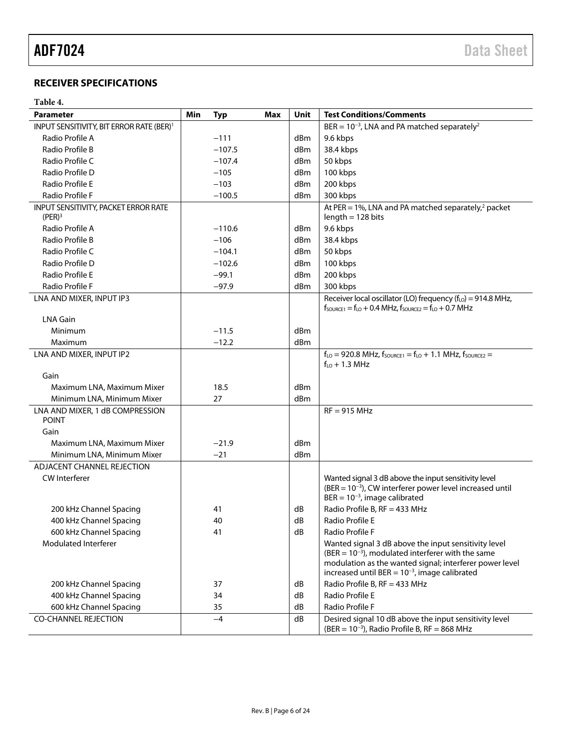### <span id="page-5-0"></span>**RECEIVER SPECIFICATIONS**

### **Table 4.**

| <b>Parameter</b>                                           | Min | <b>Typ</b> | Max | Unit | <b>Test Conditions/Comments</b>                                                                                                                             |
|------------------------------------------------------------|-----|------------|-----|------|-------------------------------------------------------------------------------------------------------------------------------------------------------------|
| INPUT SENSITIVITY, BIT ERROR RATE (BER) <sup>1</sup>       |     |            |     |      | BER = $10^{-3}$ , LNA and PA matched separately <sup>2</sup>                                                                                                |
| Radio Profile A                                            |     | $-111$     |     | dBm  | 9.6 kbps                                                                                                                                                    |
| Radio Profile B                                            |     | $-107.5$   |     | dBm  | 38.4 kbps                                                                                                                                                   |
| Radio Profile C                                            |     | $-107.4$   |     | dBm  | 50 kbps                                                                                                                                                     |
| Radio Profile D                                            |     | $-105$     |     | dBm  | 100 kbps                                                                                                                                                    |
| Radio Profile E                                            |     | $-103$     |     | dBm  | 200 kbps                                                                                                                                                    |
| Radio Profile F                                            |     | $-100.5$   |     | dBm  | 300 kbps                                                                                                                                                    |
| INPUT SENSITIVITY, PACKET ERROR RATE<br>(PER) <sup>3</sup> |     |            |     |      | At PER = 1%, LNA and PA matched separately, $^2$ packet<br>$length = 128 bits$                                                                              |
| Radio Profile A                                            |     | $-110.6$   |     | dBm  | 9.6 kbps                                                                                                                                                    |
| Radio Profile B                                            |     | $-106$     |     | dBm  | 38.4 kbps                                                                                                                                                   |
| Radio Profile C                                            |     | $-104.1$   |     | dBm  | 50 kbps                                                                                                                                                     |
| Radio Profile D                                            |     | $-102.6$   |     | dBm  | 100 kbps                                                                                                                                                    |
| Radio Profile E                                            |     | $-99.1$    |     | dBm  | 200 kbps                                                                                                                                                    |
| Radio Profile F                                            |     | $-97.9$    |     | dBm  | 300 kbps                                                                                                                                                    |
| LNA AND MIXER, INPUT IP3                                   |     |            |     |      | Receiver local oscillator (LO) frequency $(fLO) = 914.8$ MHz,                                                                                               |
|                                                            |     |            |     |      | $f_{\text{SOWRCE1}} = f_{\text{LO}} + 0.4 \text{ MHz}, f_{\text{SOWRCE2}} = f_{\text{LO}} + 0.7 \text{ MHz}$                                                |
| <b>LNA Gain</b>                                            |     |            |     |      |                                                                                                                                                             |
| Minimum                                                    |     | $-11.5$    |     | dBm  |                                                                                                                                                             |
| Maximum                                                    |     | $-12.2$    |     | dBm  |                                                                                                                                                             |
| LNA AND MIXER, INPUT IP2                                   |     |            |     |      | $f_{LO}$ = 920.8 MHz, $f_{SOURCE1}$ = $f_{LO}$ + 1.1 MHz, $f_{SOURCE2}$ =                                                                                   |
|                                                            |     |            |     |      | $f_{LO}$ + 1.3 MHz                                                                                                                                          |
| Gain                                                       |     |            |     |      |                                                                                                                                                             |
| Maximum LNA, Maximum Mixer                                 |     | 18.5       |     | dBm  |                                                                                                                                                             |
| Minimum LNA, Minimum Mixer                                 |     | 27         |     | dBm  |                                                                                                                                                             |
| LNA AND MIXER, 1 dB COMPRESSION<br><b>POINT</b>            |     |            |     |      | $RF = 915 MHz$                                                                                                                                              |
| Gain                                                       |     |            |     |      |                                                                                                                                                             |
| Maximum LNA, Maximum Mixer                                 |     | $-21.9$    |     | dBm  |                                                                                                                                                             |
| Minimum LNA, Minimum Mixer                                 |     | $-21$      |     | dBm  |                                                                                                                                                             |
| ADJACENT CHANNEL REJECTION                                 |     |            |     |      |                                                                                                                                                             |
| <b>CW</b> Interferer                                       |     |            |     |      | Wanted signal 3 dB above the input sensitivity level<br>$(BER = 10^{-3})$ , CW interferer power level increased until<br>BER = $10^{-3}$ , image calibrated |
| 200 kHz Channel Spacing                                    |     | 41         |     | dB   | Radio Profile B, RF = 433 MHz                                                                                                                               |
| 400 kHz Channel Spacing                                    |     | 40         |     | dB   | Radio Profile E                                                                                                                                             |
| 600 kHz Channel Spacing                                    |     | 41         |     | dB   | Radio Profile F                                                                                                                                             |
| Modulated Interferer                                       |     |            |     |      | Wanted signal 3 dB above the input sensitivity level                                                                                                        |
|                                                            |     |            |     |      | $(BER = 10^{-3})$ , modulated interferer with the same<br>modulation as the wanted signal; interferer power level                                           |
|                                                            |     |            |     |      | increased until BER = $10^{-3}$ , image calibrated                                                                                                          |
| 200 kHz Channel Spacing                                    |     | 37         |     | dB   | Radio Profile B, RF = 433 MHz                                                                                                                               |
| 400 kHz Channel Spacing                                    |     | 34         |     | dB   | Radio Profile E                                                                                                                                             |
| 600 kHz Channel Spacing                                    |     | 35         |     | dB   | Radio Profile F                                                                                                                                             |
| <b>CO-CHANNEL REJECTION</b>                                |     | $-4$       |     | dB   | Desired signal 10 dB above the input sensitivity level<br>$(BER = 10^{-3})$ , Radio Profile B, RF = 868 MHz                                                 |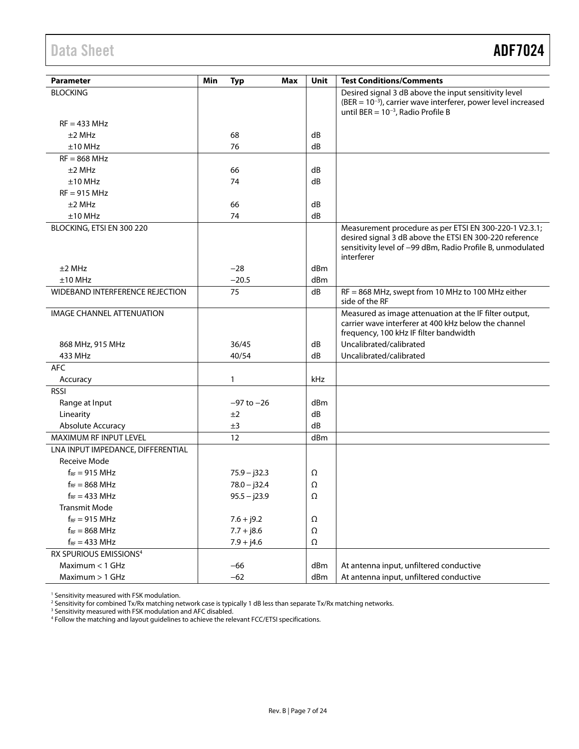## <span id="page-6-0"></span>Data Sheet **ADF7024**

| Parameter                              | Min | <b>Typ</b><br>Max | Unit     | <b>Test Conditions/Comments</b>                                                                                                                                                               |
|----------------------------------------|-----|-------------------|----------|-----------------------------------------------------------------------------------------------------------------------------------------------------------------------------------------------|
| <b>BLOCKING</b>                        |     |                   |          | Desired signal 3 dB above the input sensitivity level<br>$(BER = 10^{-3})$ , carrier wave interferer, power level increased                                                                   |
|                                        |     |                   |          | until BER = $10^{-3}$ , Radio Profile B                                                                                                                                                       |
| $RF = 433 MHz$                         |     |                   |          |                                                                                                                                                                                               |
| $±2$ MHz                               |     | 68                | dB       |                                                                                                                                                                                               |
| $±10$ MHz                              |     | 76                | dB       |                                                                                                                                                                                               |
| $RF = 868 MHz$                         |     |                   |          |                                                                                                                                                                                               |
| $±2$ MHz                               |     | 66                | dB       |                                                                                                                                                                                               |
| $±10$ MHz                              |     | 74                | dB       |                                                                                                                                                                                               |
| $RF = 915 MHz$                         |     |                   |          |                                                                                                                                                                                               |
| $±2$ MHz                               |     | 66                | dB       |                                                                                                                                                                                               |
| $±10$ MHz                              |     | 74                | dB       |                                                                                                                                                                                               |
| BLOCKING, ETSI EN 300 220              |     |                   |          | Measurement procedure as per ETSI EN 300-220-1 V2.3.1;<br>desired signal 3 dB above the ETSI EN 300-220 reference<br>sensitivity level of -99 dBm, Radio Profile B, unmodulated<br>interferer |
| $±2$ MHz                               |     | $-28$             | dBm      |                                                                                                                                                                                               |
| $±10$ MHz                              |     | $-20.5$           | dBm      |                                                                                                                                                                                               |
| <b>WIDEBAND INTERFERENCE REJECTION</b> |     | 75                | dB       | RF = 868 MHz, swept from 10 MHz to 100 MHz either<br>side of the RF                                                                                                                           |
| <b>IMAGE CHANNEL ATTENUATION</b>       |     |                   |          | Measured as image attenuation at the IF filter output,<br>carrier wave interferer at 400 kHz below the channel<br>frequency, 100 kHz IF filter bandwidth                                      |
| 868 MHz, 915 MHz                       |     | 36/45             | dB       | Uncalibrated/calibrated                                                                                                                                                                       |
| 433 MHz                                |     | 40/54             | dB       | Uncalibrated/calibrated                                                                                                                                                                       |
| <b>AFC</b>                             |     |                   |          |                                                                                                                                                                                               |
| Accuracy                               |     | $\mathbf{1}$      | kHz      |                                                                                                                                                                                               |
| <b>RSSI</b>                            |     |                   |          |                                                                                                                                                                                               |
| Range at Input                         |     | $-97$ to $-26$    | dBm      |                                                                                                                                                                                               |
| Linearity                              |     | ±2                | dB       |                                                                                                                                                                                               |
| Absolute Accuracy                      |     | ±3                | dB       |                                                                                                                                                                                               |
| <b>MAXIMUM RF INPUT LEVEL</b>          |     | 12                | dBm      |                                                                                                                                                                                               |
| LNA INPUT IMPEDANCE, DIFFERENTIAL      |     |                   |          |                                                                                                                                                                                               |
| <b>Receive Mode</b>                    |     |                   |          |                                                                                                                                                                                               |
| $f_{RF}$ = 915 MHz                     |     | $75.9 - j32.3$    | Ω        |                                                                                                                                                                                               |
| $f_{RF}$ = 868 MHz                     |     | $78.0 - j32.4$    | Ω        |                                                                                                                                                                                               |
| $f_{RF} = 433 \text{ MHz}$             |     | $95.5 - j23.9$    | $\Omega$ |                                                                                                                                                                                               |
| <b>Transmit Mode</b>                   |     |                   |          |                                                                                                                                                                                               |
| $f_{RF}$ = 915 MHz                     |     | $7.6 + j9.2$      | Ω        |                                                                                                                                                                                               |
| $f_{RF} = 868 \text{ MHz}$             |     | $7.7 + j8.6$      | Ω        |                                                                                                                                                                                               |
| $f_{RF} = 433 \text{ MHz}$             |     | $7.9 + j4.6$      | Ω        |                                                                                                                                                                                               |
| RX SPURIOUS EMISSIONS <sup>4</sup>     |     |                   |          |                                                                                                                                                                                               |
| Maximum < 1 GHz                        |     | $-66$             | dBm      | At antenna input, unfiltered conductive                                                                                                                                                       |
| Maximum > 1 GHz                        |     | $-62$             | dBm      | At antenna input, unfiltered conductive                                                                                                                                                       |

<sup>1</sup> Sensitivity measured with FSK modulation.<br><sup>2</sup> Sensitivity for combined Tx/Rx matching network case is typically 1 dB less than separate Tx/Rx matching networks.<br><sup>3</sup> Sensitivity measured with FSK modulation and AFC disa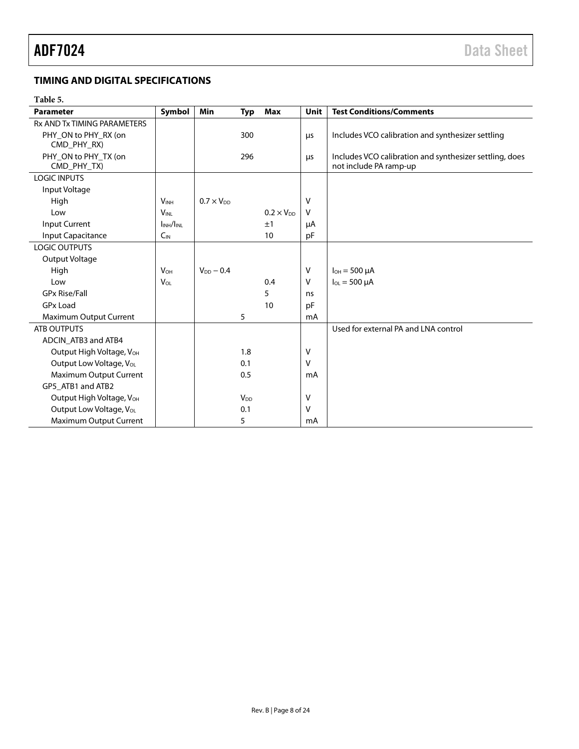### <span id="page-7-0"></span>**TIMING AND DIGITAL SPECIFICATIONS**

### **Table 5.**

| <b>Parameter</b>                     | Symbol                | <b>Min</b>          | <b>Typ</b>             | Max                 | Unit | <b>Test Conditions/Comments</b>                         |
|--------------------------------------|-----------------------|---------------------|------------------------|---------------------|------|---------------------------------------------------------|
| <b>Rx AND Tx TIMING PARAMETERS</b>   |                       |                     |                        |                     |      |                                                         |
| PHY_ON to PHY_RX (on                 |                       |                     | 300                    |                     | μs   | Includes VCO calibration and synthesizer settling       |
| CMD_PHY_RX)                          |                       |                     |                        |                     |      |                                                         |
| PHY_ON to PHY_TX (on                 |                       |                     | 296                    |                     | μs   | Includes VCO calibration and synthesizer settling, does |
| CMD_PHY_TX)                          |                       |                     |                        |                     |      | not include PA ramp-up                                  |
| <b>LOGIC INPUTS</b>                  |                       |                     |                        |                     |      |                                                         |
| Input Voltage                        |                       |                     |                        |                     |      |                                                         |
| High                                 | <b>VINH</b>           | $0.7 \times V_{DD}$ |                        |                     | v    |                                                         |
| Low                                  | <b>VINL</b>           |                     |                        | $0.2 \times V_{DD}$ | V    |                                                         |
| Input Current                        | INH/INL               |                     |                        | ±1                  | μA   |                                                         |
| Input Capacitance                    | $C_{IN}$              |                     |                        | 10                  | pF   |                                                         |
| <b>LOGIC OUTPUTS</b>                 |                       |                     |                        |                     |      |                                                         |
| Output Voltage                       |                       |                     |                        |                     |      |                                                         |
| High                                 | <b>V<sub>OH</sub></b> | $V_{DD} - 0.4$      |                        |                     | V    | $I_{OH} = 500 \mu A$                                    |
| Low                                  | <b>VOL</b>            |                     |                        | 0.4                 | v    | $I_{OL} = 500 \mu A$                                    |
| <b>GPx Rise/Fall</b>                 |                       |                     |                        | 5                   | ns   |                                                         |
| <b>GPx Load</b>                      |                       |                     |                        | 10                  | pF   |                                                         |
| Maximum Output Current               |                       |                     | 5                      |                     | mA   |                                                         |
| <b>ATB OUTPUTS</b>                   |                       |                     |                        |                     |      | Used for external PA and LNA control                    |
| ADCIN_ATB3 and ATB4                  |                       |                     |                        |                     |      |                                                         |
| Output High Voltage, V <sub>OH</sub> |                       |                     | 1.8                    |                     | ٧    |                                                         |
| Output Low Voltage, V <sub>OL</sub>  |                       |                     | 0.1                    |                     | V    |                                                         |
| Maximum Output Current               |                       |                     | 0.5                    |                     | mA   |                                                         |
| GP5 ATB1 and ATB2                    |                       |                     |                        |                     |      |                                                         |
| Output High Voltage, V <sub>OH</sub> |                       |                     | <b>V</b> <sub>DD</sub> |                     | V    |                                                         |
| Output Low Voltage, V <sub>OL</sub>  |                       |                     | 0.1                    |                     | v    |                                                         |
| Maximum Output Current               |                       |                     | 5                      |                     | mA   |                                                         |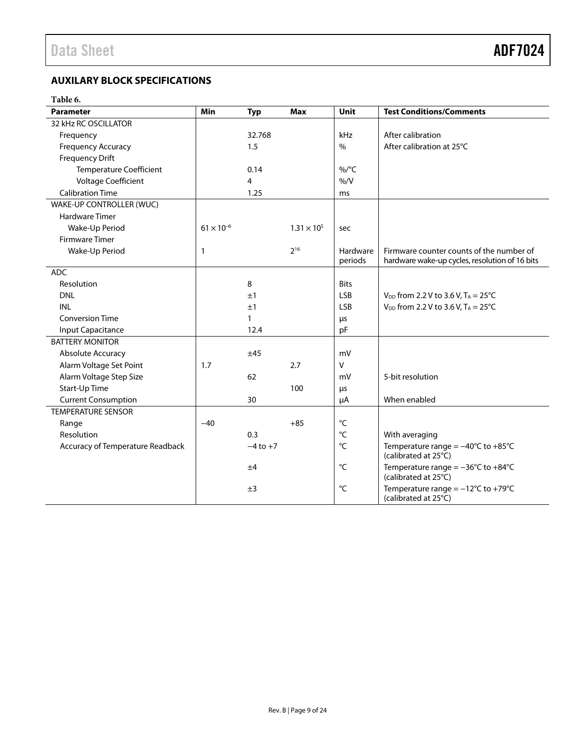### <span id="page-8-0"></span>**AUXILARY BLOCK SPECIFICATIONS**

### **Table 6.**

| <b>Parameter</b>                 | Min                 | <b>Typ</b>   | <b>Max</b>           | Unit              | <b>Test Conditions/Comments</b>                                                 |
|----------------------------------|---------------------|--------------|----------------------|-------------------|---------------------------------------------------------------------------------|
| 32 kHz RC OSCILLATOR             |                     |              |                      |                   |                                                                                 |
| Frequency                        |                     | 32.768       |                      | kHz               | After calibration                                                               |
| <b>Frequency Accuracy</b>        |                     | 1.5          |                      | $\%$              | After calibration at 25°C                                                       |
| <b>Frequency Drift</b>           |                     |              |                      |                   |                                                                                 |
| <b>Temperature Coefficient</b>   |                     | 0.14         |                      | %/°C              |                                                                                 |
| Voltage Coefficient              |                     | 4            |                      | % /V              |                                                                                 |
| <b>Calibration Time</b>          |                     | 1.25         |                      | ms                |                                                                                 |
| WAKE-UP CONTROLLER (WUC)         |                     |              |                      |                   |                                                                                 |
| Hardware Timer                   |                     |              |                      |                   |                                                                                 |
| Wake-Up Period                   | $61 \times 10^{-6}$ |              | $1.31 \times 10^{5}$ | sec               |                                                                                 |
| Firmware Timer                   |                     |              |                      |                   |                                                                                 |
| Wake-Up Period                   | 1                   |              | $2^{16}$             | Hardware          | Firmware counter counts of the number of                                        |
|                                  |                     |              |                      | periods           | hardware wake-up cycles, resolution of 16 bits                                  |
| <b>ADC</b>                       |                     |              |                      |                   |                                                                                 |
| Resolution                       |                     | 8            |                      | <b>Bits</b>       |                                                                                 |
| <b>DNL</b>                       |                     | ±1           |                      | <b>LSB</b>        | $V_{DD}$ from 2.2 V to 3.6 V, T <sub>A</sub> = 25°C                             |
| <b>INL</b>                       |                     | ±1           |                      | <b>LSB</b>        | $V_{DD}$ from 2.2 V to 3.6 V, T <sub>A</sub> = 25°C                             |
| <b>Conversion Time</b>           |                     | 1            |                      | μs                |                                                                                 |
| Input Capacitance                |                     | 12.4         |                      | pF                |                                                                                 |
| <b>BATTERY MONITOR</b>           |                     |              |                      |                   |                                                                                 |
| Absolute Accuracy                |                     | ±45          |                      | mV                |                                                                                 |
| Alarm Voltage Set Point          | 1.7                 |              | 2.7                  | $\mathsf{V}$      |                                                                                 |
| Alarm Voltage Step Size          |                     | 62           |                      | mV                | 5-bit resolution                                                                |
| Start-Up Time                    |                     |              | 100                  | μs                |                                                                                 |
| <b>Current Consumption</b>       |                     | 30           |                      | μA                | When enabled                                                                    |
| <b>TEMPERATURE SENSOR</b>        |                     |              |                      |                   |                                                                                 |
| Range                            | $-40$               |              | $+85$                | °C                |                                                                                 |
| Resolution                       |                     | 0.3          |                      | $^{\circ}{\sf C}$ | With averaging                                                                  |
| Accuracy of Temperature Readback |                     | $-4$ to $+7$ |                      | °C                | Temperature range = $-40^{\circ}$ C to $+85^{\circ}$ C<br>(calibrated at 25°C)  |
|                                  |                     | ±4           |                      | °C                | Temperature range = $-36^{\circ}$ C to $+84^{\circ}$ C<br>(calibrated at 25°C)  |
|                                  |                     | ±3           |                      | °C                | Temperature range = $-12^{\circ}$ C to +79 $^{\circ}$ C<br>(calibrated at 25°C) |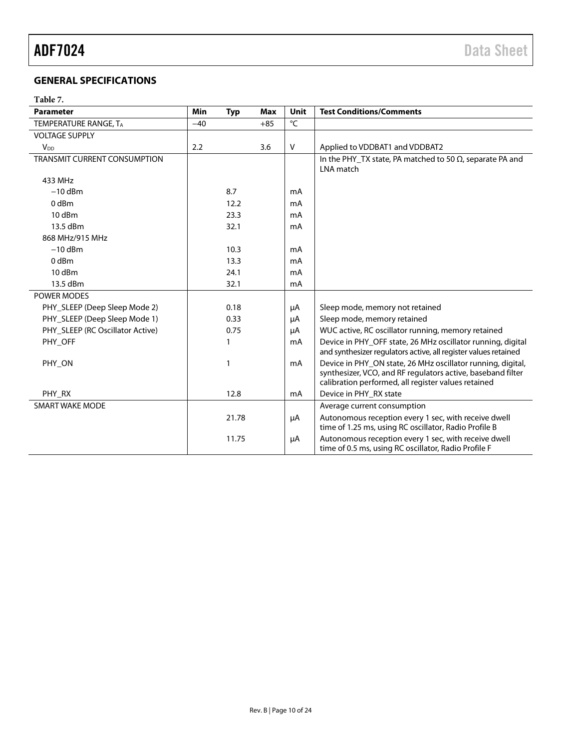### <span id="page-9-0"></span>**GENERAL SPECIFICATIONS**

### **Table 7.**

| <b>Parameter</b>                    | Min   | <b>Typ</b> | <b>Max</b> | Unit   | <b>Test Conditions/Comments</b>                                                                                                                                                   |
|-------------------------------------|-------|------------|------------|--------|-----------------------------------------------------------------------------------------------------------------------------------------------------------------------------------|
| TEMPERATURE RANGE, TA               | $-40$ |            | $+85$      | °C     |                                                                                                                                                                                   |
| <b>VOLTAGE SUPPLY</b>               |       |            |            |        |                                                                                                                                                                                   |
| <b>V<sub>DD</sub></b>               | 2.2   |            | 3.6        | $\vee$ | Applied to VDDBAT1 and VDDBAT2                                                                                                                                                    |
| <b>TRANSMIT CURRENT CONSUMPTION</b> |       |            |            |        | In the PHY_TX state, PA matched to 50 $\Omega$ , separate PA and<br>LNA match                                                                                                     |
| 433 MHz                             |       |            |            |        |                                                                                                                                                                                   |
| $-10$ dBm                           |       | 8.7        |            | mA     |                                                                                                                                                                                   |
| 0 <sub>dBm</sub>                    |       | 12.2       |            | mA     |                                                                                                                                                                                   |
| 10 dBm                              |       | 23.3       |            | mA     |                                                                                                                                                                                   |
| 13.5 dBm                            |       | 32.1       |            | mA     |                                                                                                                                                                                   |
| 868 MHz/915 MHz                     |       |            |            |        |                                                                                                                                                                                   |
| $-10$ dBm                           |       | 10.3       |            | mA     |                                                                                                                                                                                   |
| 0 <sub>dBm</sub>                    |       | 13.3       |            | mA     |                                                                                                                                                                                   |
| $10$ dBm                            |       | 24.1       |            | mA     |                                                                                                                                                                                   |
| 13.5 dBm                            |       | 32.1       |            | mA     |                                                                                                                                                                                   |
| POWER MODES                         |       |            |            |        |                                                                                                                                                                                   |
| PHY_SLEEP (Deep Sleep Mode 2)       |       | 0.18       |            | μA     | Sleep mode, memory not retained                                                                                                                                                   |
| PHY_SLEEP (Deep Sleep Mode 1)       |       | 0.33       |            | μA     | Sleep mode, memory retained                                                                                                                                                       |
| PHY_SLEEP (RC Oscillator Active)    |       | 0.75       |            | μA     | WUC active, RC oscillator running, memory retained                                                                                                                                |
| PHY OFF                             |       |            |            | mA     | Device in PHY_OFF state, 26 MHz oscillator running, digital<br>and synthesizer regulators active, all register values retained                                                    |
| PHY_ON                              |       | 1          |            | mA     | Device in PHY_ON state, 26 MHz oscillator running, digital,<br>synthesizer, VCO, and RF regulators active, baseband filter<br>calibration performed, all register values retained |
| PHY_RX                              |       | 12.8       |            | mA     | Device in PHY_RX state                                                                                                                                                            |
| <b>SMART WAKE MODE</b>              |       |            |            |        | Average current consumption                                                                                                                                                       |
|                                     |       | 21.78      |            | μA     | Autonomous reception every 1 sec, with receive dwell<br>time of 1.25 ms, using RC oscillator, Radio Profile B                                                                     |
|                                     |       | 11.75      |            | μA     | Autonomous reception every 1 sec, with receive dwell<br>time of 0.5 ms, using RC oscillator, Radio Profile F                                                                      |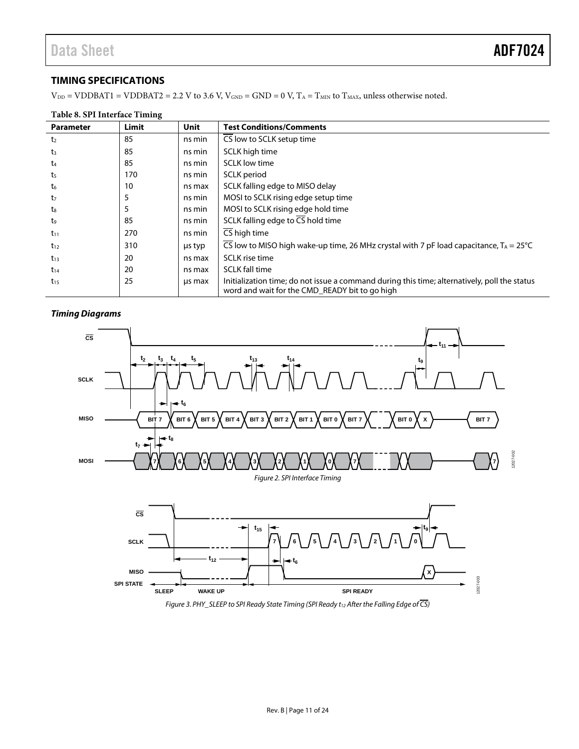### <span id="page-10-0"></span>**TIMING SPECIFICATIONS**

 $V_{DD} = VDDBAT1 = VDDBAT2 = 2.2 V$  to 3.6 V,  $V_{GND} = GND = 0 V$ ,  $T_A = T_{MIN}$  to  $T_{MAX}$ , unless otherwise noted.

### **Table 8. SPI Interface Timing**

| <b>Parameter</b> | Limit | <b>Unit</b> | <b>Test Conditions/Comments</b>                                                                                                                |
|------------------|-------|-------------|------------------------------------------------------------------------------------------------------------------------------------------------|
| t <sub>2</sub>   | 85    | ns min      | CS low to SCLK setup time                                                                                                                      |
| $t_3$            | 85    | ns min      | SCLK high time                                                                                                                                 |
| t <sub>4</sub>   | 85    | ns min      | <b>SCLK</b> low time                                                                                                                           |
| t <sub>5</sub>   | 170   | ns min      | SCLK period                                                                                                                                    |
| $t_6$            | 10    | ns max      | SCLK falling edge to MISO delay                                                                                                                |
| t <sub>7</sub>   | 5     | ns min      | MOSI to SCLK rising edge setup time                                                                                                            |
| t.               | 5     | ns min      | MOSI to SCLK rising edge hold time                                                                                                             |
| t9               | 85    | ns min      | SCLK falling edge to CS hold time                                                                                                              |
| $t_{11}$         | 270   | ns min      | CS high time                                                                                                                                   |
| $t_{12}$         | 310   | us typ      | CS low to MISO high wake-up time, 26 MHz crystal with 7 pF load capacitance, $T_A = 25^{\circ}C$                                               |
| $t_{13}$         | 20    | ns max      | SCLK rise time                                                                                                                                 |
| $t_{14}$         | 20    | ns max      | <b>SCLK</b> fall time                                                                                                                          |
| $t_{15}$         | 25    | us max      | Initialization time; do not issue a command during this time; alternatively, poll the status<br>word and wait for the CMD READY bit to go high |

### *Timing Diagrams*



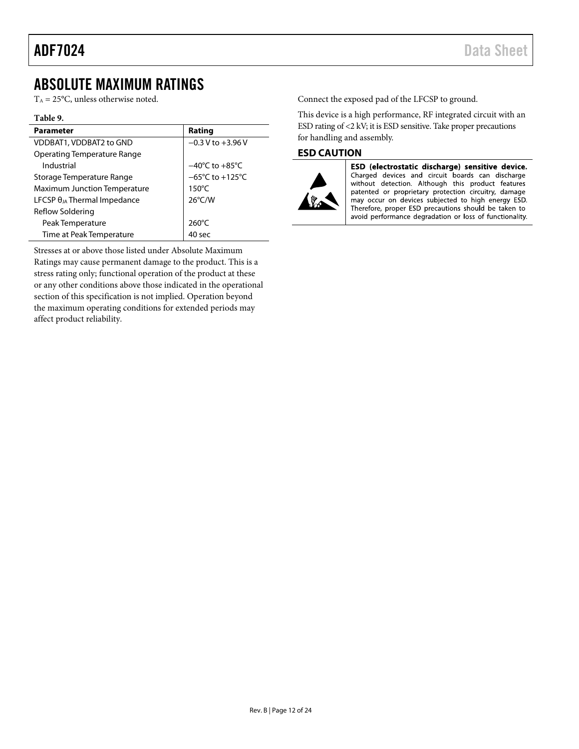## <span id="page-11-0"></span>ABSOLUTE MAXIMUM RATINGS

 $T_A = 25$ °C, unless otherwise noted.

### **Table 9.**

| <b>Parameter</b>                      | Rating                              |
|---------------------------------------|-------------------------------------|
| VDDBAT1, VDDBAT2 to GND               | $-0.3$ V to $+3.96$ V               |
| Operating Temperature Range           |                                     |
| Industrial                            | $-40^{\circ}$ C to $+85^{\circ}$ C  |
| Storage Temperature Range             | $-65^{\circ}$ C to $+125^{\circ}$ C |
| <b>Maximum Junction Temperature</b>   | $150^{\circ}$ C                     |
| LFCSP $\theta_{JA}$ Thermal Impedance | $26^{\circ}$ C/W                    |
| Reflow Soldering                      |                                     |
| Peak Temperature                      | $260^{\circ}$ C                     |
| Time at Peak Temperature              | 40 sec                              |

Stresses at or above those listed under Absolute Maximum Ratings may cause permanent damage to the product. This is a stress rating only; functional operation of the product at these or any other conditions above those indicated in the operational section of this specification is not implied. Operation beyond the maximum operating conditions for extended periods may affect product reliability.

Connect the exposed pad of the LFCSP to ground.

This device is a high performance, RF integrated circuit with an ESD rating of <2 kV; it is ESD sensitive. Take proper precautions for handling and assembly.

### <span id="page-11-1"></span>**ESD CAUTION**



ESD (electrostatic discharge) sensitive device. Charged devices and circuit boards can discharge<br>without detection. Although this product features patented or proprietary protection circuitry, damage

may occur on devices subjected to high energy ESD. Therefore, proper ESD precautions should be taken to avoid performance degradation or loss of functionality.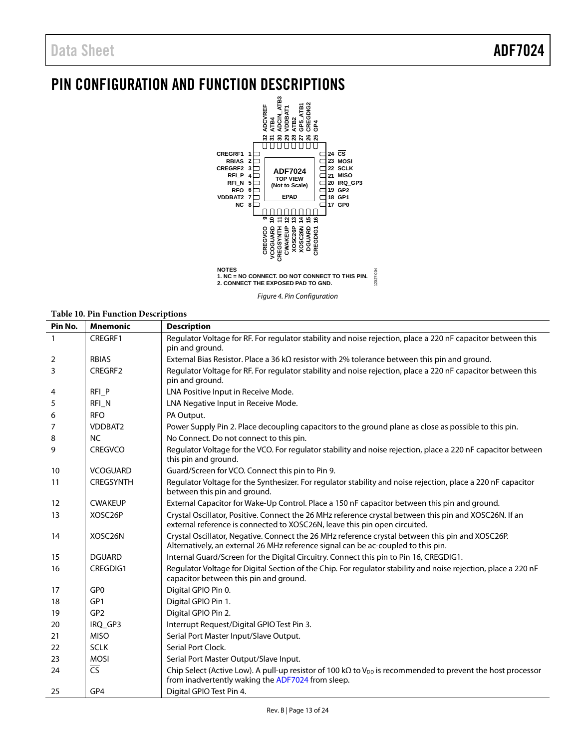## <span id="page-12-0"></span>PIN CONFIGURATION AND FUNCTION DESCRIPTIONS



*Figure 4. Pin Configuration*

### **Table 10. Pin Function Descriptions**

| Pin No.      | <b>Mnemonic</b>          | <b>Description</b>                                                                                                                                                                    |
|--------------|--------------------------|---------------------------------------------------------------------------------------------------------------------------------------------------------------------------------------|
| $\mathbf{1}$ | CREGRF1                  | Regulator Voltage for RF. For regulator stability and noise rejection, place a 220 nF capacitor between this<br>pin and ground.                                                       |
| 2            | <b>RBIAS</b>             | External Bias Resistor. Place a 36 k $\Omega$ resistor with 2% tolerance between this pin and ground.                                                                                 |
| 3            | CREGRF2                  | Regulator Voltage for RF. For regulator stability and noise rejection, place a 220 nF capacitor between this<br>pin and ground.                                                       |
| 4            | RFI P                    | LNA Positive Input in Receive Mode.                                                                                                                                                   |
| 5            | RFI <sub>N</sub>         | LNA Negative Input in Receive Mode.                                                                                                                                                   |
| 6            | <b>RFO</b>               | PA Output.                                                                                                                                                                            |
| 7            | VDDBAT2                  | Power Supply Pin 2. Place decoupling capacitors to the ground plane as close as possible to this pin.                                                                                 |
| 8            | <b>NC</b>                | No Connect. Do not connect to this pin.                                                                                                                                               |
| 9            | <b>CREGVCO</b>           | Regulator Voltage for the VCO. For regulator stability and noise rejection, place a 220 nF capacitor between<br>this pin and ground.                                                  |
| 10           | <b>VCOGUARD</b>          | Guard/Screen for VCO. Connect this pin to Pin 9.                                                                                                                                      |
| 11           | <b>CREGSYNTH</b>         | Regulator Voltage for the Synthesizer. For regulator stability and noise rejection, place a 220 nF capacitor<br>between this pin and ground.                                          |
| 12           | <b>CWAKEUP</b>           | External Capacitor for Wake-Up Control. Place a 150 nF capacitor between this pin and ground.                                                                                         |
| 13           | XOSC <sub>26</sub> P     | Crystal Oscillator, Positive. Connect the 26 MHz reference crystal between this pin and XOSC26N. If an<br>external reference is connected to XOSC26N, leave this pin open circuited.  |
| 14           | XOSC26N                  | Crystal Oscillator, Negative. Connect the 26 MHz reference crystal between this pin and XOSC26P.<br>Alternatively, an external 26 MHz reference signal can be ac-coupled to this pin. |
| 15           | <b>DGUARD</b>            | Internal Guard/Screen for the Digital Circuitry. Connect this pin to Pin 16, CREGDIG1.                                                                                                |
| 16           | CREGDIG1                 | Regulator Voltage for Digital Section of the Chip. For regulator stability and noise rejection, place a 220 nF<br>capacitor between this pin and ground.                              |
| 17           | GP <sub>0</sub>          | Digital GPIO Pin 0.                                                                                                                                                                   |
| 18           | GP <sub>1</sub>          | Digital GPIO Pin 1.                                                                                                                                                                   |
| 19           | GP <sub>2</sub>          | Digital GPIO Pin 2.                                                                                                                                                                   |
| 20           | IRQ GP3                  | Interrupt Request/Digital GPIO Test Pin 3.                                                                                                                                            |
| 21           | <b>MISO</b>              | Serial Port Master Input/Slave Output.                                                                                                                                                |
| 22           | <b>SCLK</b>              | Serial Port Clock.                                                                                                                                                                    |
| 23           | <b>MOSI</b>              | Serial Port Master Output/Slave Input.                                                                                                                                                |
| 24           | $\overline{\mathsf{CS}}$ | Chip Select (Active Low). A pull-up resistor of 100 k $\Omega$ to V <sub>DD</sub> is recommended to prevent the host processor<br>from inadvertently waking the ADF7024 from sleep.   |
| 25           | GP4                      | Digital GPIO Test Pin 4.                                                                                                                                                              |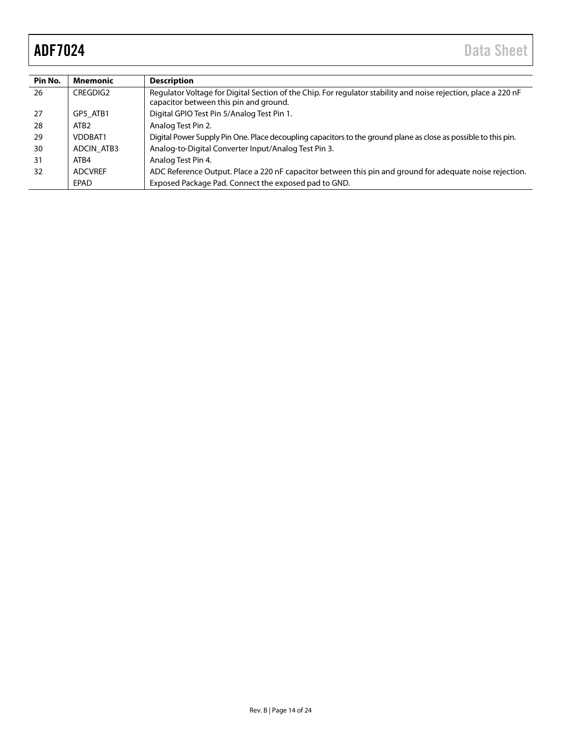| Pin No. | Mnemonic         | <b>Description</b>                                                                                                                                       |
|---------|------------------|----------------------------------------------------------------------------------------------------------------------------------------------------------|
| 26      | CREGDIG2         | Regulator Voltage for Digital Section of the Chip. For regulator stability and noise rejection, place a 220 nF<br>capacitor between this pin and ground. |
| 27      | GP5 ATB1         | Digital GPIO Test Pin 5/Analog Test Pin 1.                                                                                                               |
| 28      | ATB <sub>2</sub> | Analog Test Pin 2.                                                                                                                                       |
| 29      | VDDBAT1          | Digital Power Supply Pin One. Place decoupling capacitors to the ground plane as close as possible to this pin.                                          |
| 30      | ADCIN ATB3       | Analog-to-Digital Converter Input/Analog Test Pin 3.                                                                                                     |
| 31      | ATR4             | Analog Test Pin 4.                                                                                                                                       |
| 32      | <b>ADCVREF</b>   | ADC Reference Output. Place a 220 nF capacitor between this pin and ground for adequate noise rejection.                                                 |
|         | EPAD             | Exposed Package Pad. Connect the exposed pad to GND.                                                                                                     |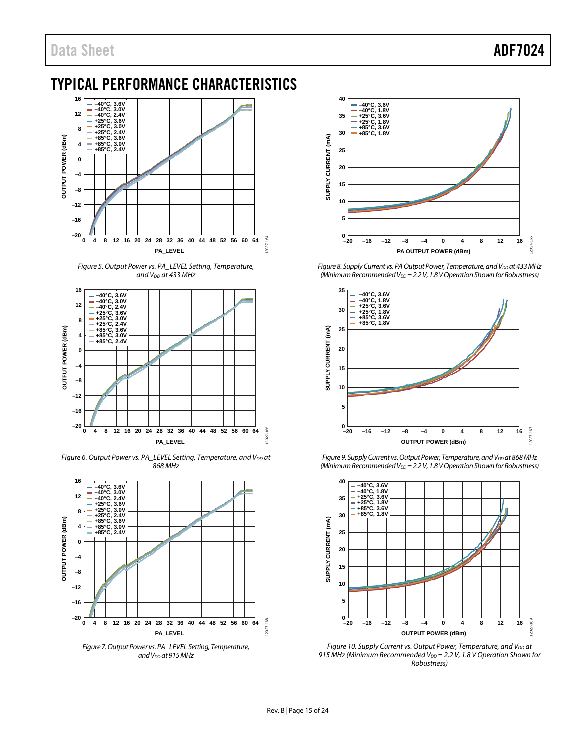## <span id="page-14-0"></span>TYPICAL PERFORMANCE CHARACTERISTICS



*Figure 5. Output Power vs. PA\_LEVEL Setting, Temperature, and VDD at 433 MHz*



*Figure 6. Output Power vs. PA\_LEVEL Setting, Temperature, and V<sub>DD</sub> at 868 MHz*



*Figure 7. Output Power vs. PA\_LEVEL Setting, Temperature, and VDD at 915 MHz*



*Figure 8. Supply Current vs. PA Output Power, Temperature, and V<sub>DD</sub> at 433 MHz (Minimum Recommended V<sub>DD</sub>* = 2.2 V, 1.8 V Operation Shown for Robustness)



*Figure 9. Supply Current vs. Output Power, Temperature, and V<sub>DD</sub> at 868 MHz (Minimum Recommended V<sub>DD</sub>* = 2.2 V, 1.8 V Operation Shown for Robustness)



*Figure 10. Supply Current vs. Output Power, Temperature, and V<sub>DD</sub> at* 915 MHz (Minimum Recommended V<sub>DD</sub> = 2.2 V, 1.8 V Operation Shown for *Robustness)*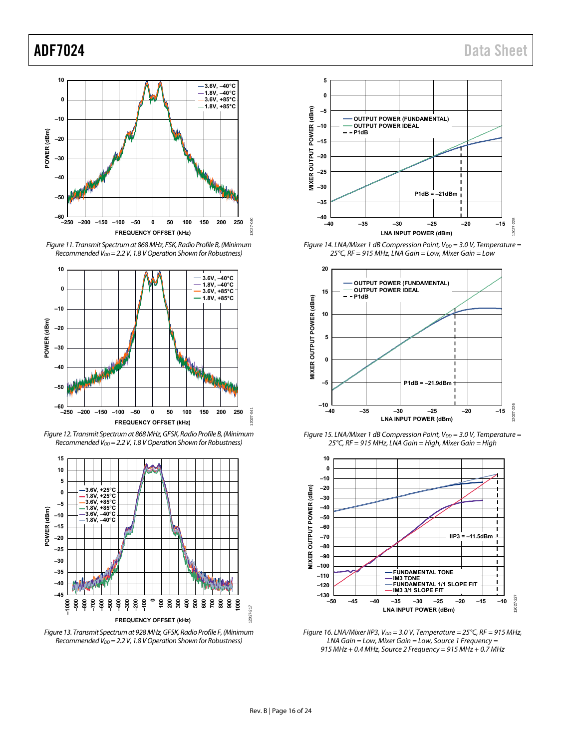





Figure 12. Transmit Spectrum at 868 MHz, GFSK, Radio Profile B, (Minimum Recommended  $V_{DD} = 2.2 V$ , 1.8 V Operation Shown for Robustness)



Figure 13. Transmit Spectrum at 928 MHz, GFSK, Radio Profile F, (Minimum Recommended V<sub>DD</sub> = 2.2 V, 1.8 V Operation Shown for Robustness)



Figure 14. LNA/Mixer 1 dB Compression Point,  $V_{DD} = 3.0$  V, Temperature = 25°C, RF = 915 MHz, LNA Gain = Low, Mixer Gain = Low



Figure 15. LNA/Mixer 1 dB Compression Point,  $V_{DD} = 3.0$  V, Temperature = 25°C, RF = 915 MHz, LNA Gain = High, Mixer Gain = High



Figure 16. LNA/Mixer IIP3,  $V_{DD} = 3.0$  V, Temperature = 25°C, RF = 915 MHz, LNA Gain = Low, Mixer Gain = Low, Source 1 Frequency = 915 MHz + 0.4 MHz, Source 2 Frequency = 915 MHz + 0.7 MHz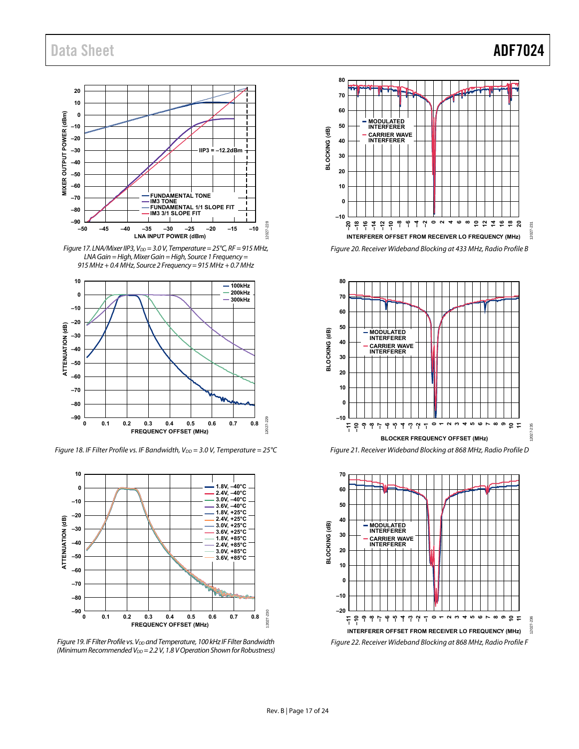### **20 10 0** MIXER OUTPUT POWER (dBm) **MIXER OUTPUT POWER (dBm) –10 –20 –30 IIP3 = –12.2dBm –40 –50 –60 FUNDAMENTAL TONE IM3 TONE FUNDAMENTAL 1/1 SLOPE FIT IM3 3/1 SLOPE FIT –70 –80 –90** 228 12027-228 **–50 –45 –40 –35 –30 –25 –20 –15 –10** 2027-**LNA INPUT POWER (dBm)**

Figure 17. LNA/Mixer IIP3,  $V_{DD} = 3.0$  V, Temperature = 25°C, RF = 915 MHz, LNA Gain = High, Mixer Gain = High, Source 1 Frequency = 915 MHz + 0.4 MHz, Source 2 Frequency = 915 MHz + 0.7 MHz



Figure 18. IF Filter Profile vs. IF Bandwidth,  $V_{DD} = 3.0$  V, Temperature = 25°C



Figure 19. IF Filter Profile vs.  $V_{DD}$  and Temperature, 100 kHz IF Filter Bandwidth (Minimum Recommended  $V_{DD} = 2.2 V$ , 1.8 V Operation Shown for Robustness)





Figure 21. Receiver Wideband Blocking at 868 MHz, Radio Profile D

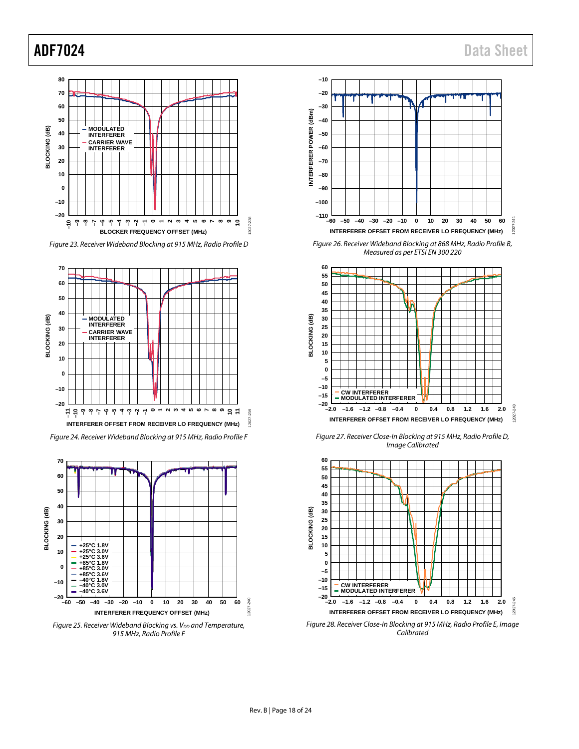









*Figure 25. Receiver Wideband Blocking vs. V<sub>DD</sub> and Temperature, 915 MHz, Radio Profile F*



*Figure 26. Receiver Wideband Blocking at 868 MHz, Radio Profile B, Measured as per ETSI EN 300 220*



*Figure 27. Receiver Close-In Blocking at 915 MHz, Radio Profile D, Image Calibrated*



*Figure 28. Receiver Close-In Blocking at 915 MHz, Radio Profile E, Image Calibrated*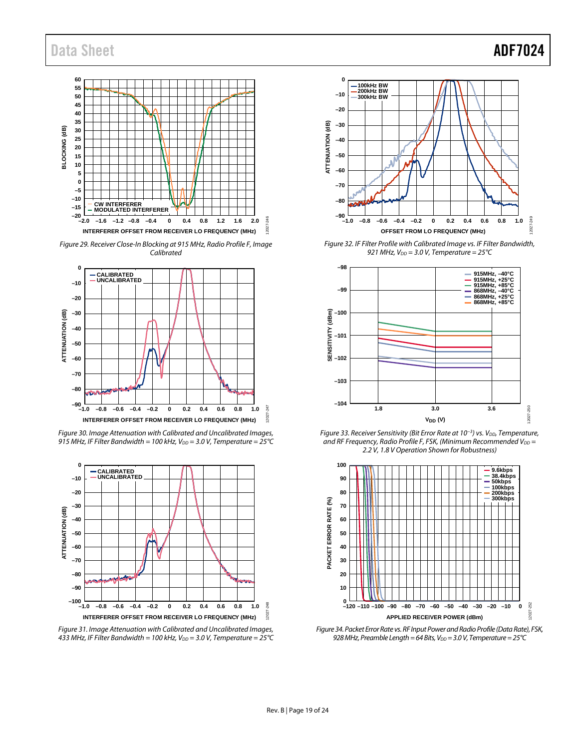## Data Sheet **ADF7024**



*Figure 29. Receiver Close-In Blocking at 915 MHz, Radio Profile F, Image Calibrated*



*Figure 30. Image Attenuation with Calibrated and Uncalibrated Images, 915 MHz, IF Filter Bandwidth = 100 kHz, VDD = 3.0 V, Temperature = 25°C*



*Figure 31. Image Attenuation with Calibrated and Uncalibrated Images, 433 MHz, IF Filter Bandwidth = 100 kHz, VDD = 3.0 V, Temperature = 25°C*



*Figure 32. IF Filter Profile with Calibrated Image vs. IF Filter Bandwidth,*   $921$  *MHz,*  $V_{DD} = 3.0$  *V, Temperature = 25*°C



*Figure 33. Receiver Sensitivity (Bit Error Rate at 10<sup>-3</sup>) vs. V<sub>DD</sub>, Temperature, and RF Frequency, Radio Profile F, FSK, (Minimum Recommended V<sub>DD</sub> = 2.2 V, 1.8 V Operation Shown for Robustness)*



*Figure 34. Packet Error Rate vs. RF Input Powerand Radio Profile (Data Rate), FSK,*  928 MHz, Preamble Length = 64 Bits, V<sub>DD</sub> = 3.0 V, Temperature = 25 °C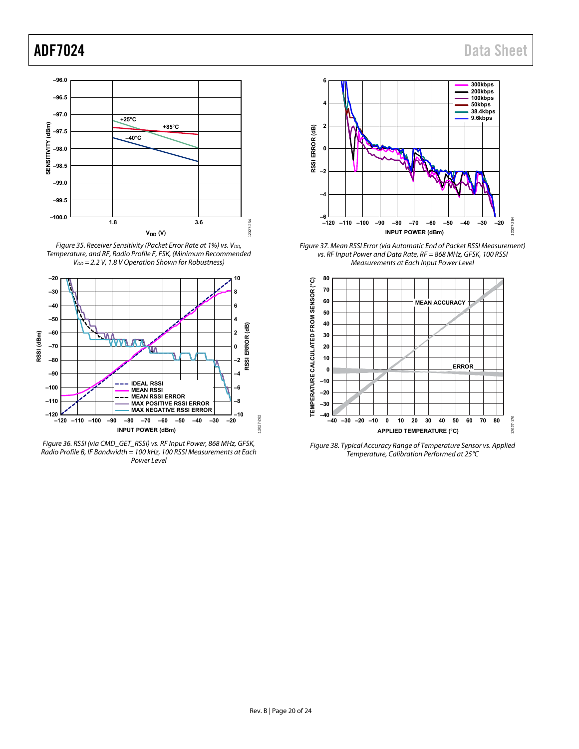

Figure 35. Receiver Sensitivity (Packet Error Rate at 1%) vs. V<sub>DD</sub>, Temperature, and RF, Radio Profile F, FSK, (Minimum Recommended  $V_{DD} = 2.2$  V, 1.8 V Operation Shown for Robustness)



Figure 36. RSSI (via CMD\_GET\_RSSI) vs. RF Input Power, 868 MHz, GFSK, Radio Profile B, IF Bandwidth = 100 kHz, 100 RSSI Measurements at Each Power Level



Figure 37. Mean RSSI Error (via Automatic End of Packet RSSI Measurement) vs. RF Input Power and Data Rate, RF = 868 MHz, GFSK, 100 RSSI Measurements at Each Input Power Level



Figure 38. Typical Accuracy Range of Temperature Sensor vs. Applied Temperature, Calibration Performed at 25°C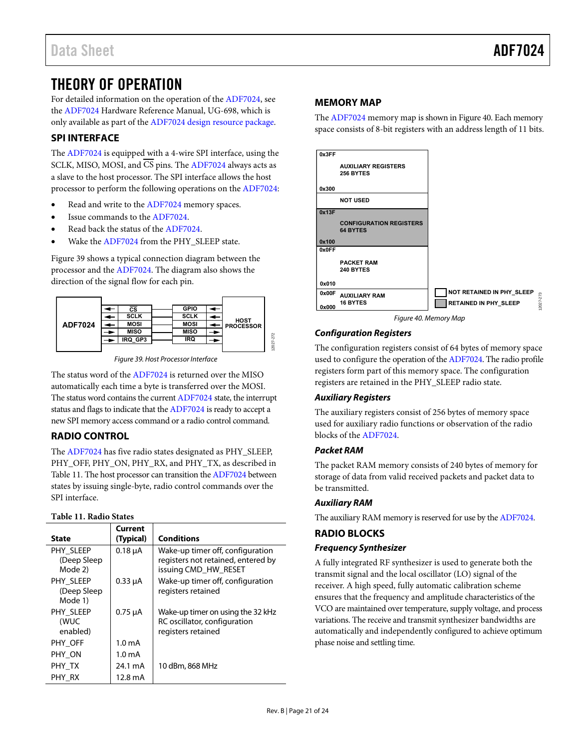## <span id="page-20-0"></span>THEORY OF OPERATION

For detailed information on the operation of th[e ADF7024,](http://www.analog.com/ADF7024?doc=ADF7024.pdf) see the [ADF7024](http://www.analog.com/ADF7024?doc=ADF7024.pdf) Hardware Reference Manual, UG-698, which is only available as part of th[e ADF7024 design resource package.](http://www.analog.com/adf7024-design-pkgs?doc=ADF7024.pdf) 

### <span id="page-20-1"></span>**SPI INTERFACE**

The [ADF7024 i](http://www.analog.com/ADF7024?doc=ADF7024.pdf)s equipped with a 4-wire SPI interface, using the SCLK, MISO, MOSI, and CS pins. The [ADF7024 a](http://www.analog.com/ADF7024?doc=ADF7024.pdf)lways acts as a slave to the host processor. The SPI interface allows the host processor to perform the following operations on the [ADF7024:](http://www.analog.com/ADF7024?doc=ADF7024.pdf) 

- Read and write to th[e ADF7024](http://www.analog.com/ADF7024?doc=ADF7024.pdf) memory spaces.
- Issue commands to th[e ADF7024.](http://www.analog.com/ADF7024?doc=ADF7024.pdf)
- Read back the status of the [ADF7024.](http://www.analog.com/ADF7024?doc=ADF7024.pdf)
- Wake th[e ADF7024](http://www.analog.com/ADF7024?doc=ADF7024.pdf) from the PHY\_SLEEP state.

[Figure 39 s](#page-20-5)hows a typical connection diagram between the processor and th[e ADF7024.](http://www.analog.com/ADF7024?doc=ADF7024.pdf) The diagram also shows the direction of the signal flow for each pin.



Figure 39. Host Processor Interface

<span id="page-20-5"></span>The status word of th[e ADF7024 i](http://www.analog.com/ADF7024?doc=ADF7024.pdf)s returned over the MISO automatically each time a byte is transferred over the MOSI. The status word contains the current [ADF7024 s](http://www.analog.com/ADF7024?doc=ADF7024.pdf)tate, the interrupt status and flags to indicate that th[e ADF7024 i](http://www.analog.com/ADF7024?doc=ADF7024.pdf)s ready to accept a new SPI memory access command or a radio control command.

### <span id="page-20-2"></span>**RADIO CONTROL**

The [ADF7024 h](http://www.analog.com/ADF7024?doc=ADF7024.pdf)as five radio states designated as PHY\_SLEEP, PHY\_OFF, PHY\_ON, PHY\_RX, and PHY\_TX, as described in [Table 11.](#page-20-6) The host processor can transition th[e ADF7024 b](http://www.analog.com/ADF7024?doc=ADF7024.pdf)etween states by issuing single-byte, radio control commands over the SPI interface.

### <span id="page-20-6"></span>**Table 11. Radio States**

|                                     | Current            |                                                                                                |
|-------------------------------------|--------------------|------------------------------------------------------------------------------------------------|
| <b>State</b>                        | (Typical)          | <b>Conditions</b>                                                                              |
| PHY SLEEP<br>(Deep Sleep<br>Mode 2) | $0.18 \mu A$       | Wake-up timer off, configuration<br>registers not retained, entered by<br>issuing CMD_HW_RESET |
| PHY SLEEP<br>(Deep Sleep<br>Mode 1) | $0.33 \mu A$       | Wake-up timer off, configuration<br>registers retained                                         |
| PHY SLEEP<br>(WUC<br>enabled)       | $0.75 \mu A$       | Wake-up timer on using the 32 kHz<br>RC oscillator, configuration<br>registers retained        |
| PHY OFF                             | 1.0 <sub>m</sub> A |                                                                                                |
| PHY ON                              | 1.0 mA             |                                                                                                |
| PHY TX                              | 24.1 mA            | 10 dBm, 868 MHz                                                                                |
| PHY RX                              | 12.8 mA            |                                                                                                |

### <span id="page-20-3"></span>**MEMORY MAP**

The [ADF7024 m](http://www.analog.com/ADF7024?doc=ADF7024.pdf)emory map is shown i[n Figure 40.](#page-20-7) Each memory space consists of 8-bit registers with an address length of 11 bits.



### <span id="page-20-7"></span>**Configuration Registers**

The configuration registers consist of 64 bytes of memory space used to configure the operation of th[e ADF7024.](http://www.analog.com/ADF7024?doc=ADF7024.pdf) The radio profile registers form part of this memory space. The configuration registers are retained in the PHY\_SLEEP radio state.

### **Auxiliary Registers**

The auxiliary registers consist of 256 bytes of memory space used for auxiliary radio functions or observation of the radio blocks of th[e ADF7024.](http://www.analog.com/ADF7024?doc=ADF7024.pdf)

### **Packet RAM**

The packet RAM memory consists of 240 bytes of memory for storage of data from valid received packets and packet data to be transmitted.

### **Auxiliary RAM**

The auxiliary RAM memory is reserved for use by th[e ADF7024.](http://www.analog.com/ADF7024?doc=ADF7024.pdf) 

### <span id="page-20-4"></span>**RADIO BLOCKS**

### **Frequency Synthesizer**

A fully integrated RF synthesizer is used to generate both the transmit signal and the local oscillator (LO) signal of the receiver. A high speed, fully automatic calibration scheme ensures that the frequency and amplitude characteristics of the VCO are maintained over temperature, supply voltage, and process variations. The receive and transmit synthesizer bandwidths are automatically and independently configured to achieve optimum phase noise and settling time.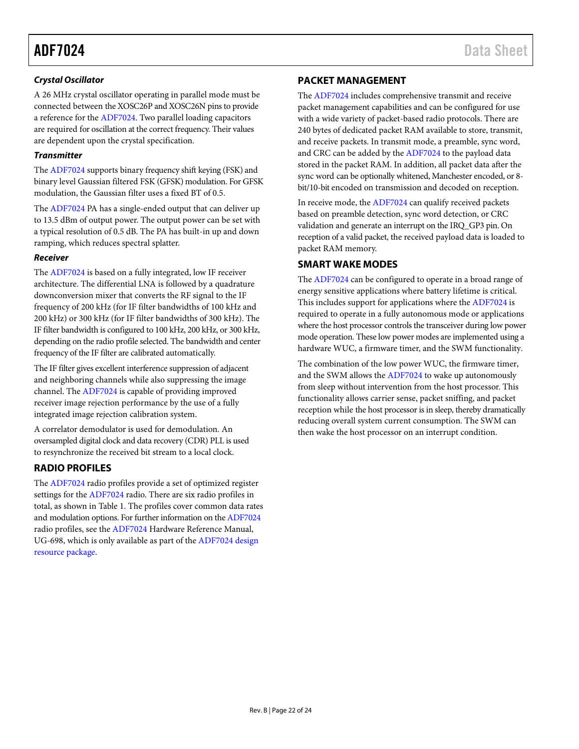### *Crystal Oscillator*

A 26 MHz crystal oscillator operating in parallel mode must be connected between the XOSC26P and XOSC26N pins to provide a reference for th[e ADF7024.](http://www.analog.com/ADF7024?doc=ADF7024.pdf) Two parallel loading capacitors are required for oscillation at the correct frequency. Their values are dependent upon the crystal specification.

### *Transmitter*

The [ADF7024](http://www.analog.com/ADF7024?doc=ADF7024.pdf) supports binary frequency shift keying (FSK) and binary level Gaussian filtered FSK (GFSK) modulation. For GFSK modulation, the Gaussian filter uses a fixed BT of 0.5.

The [ADF7024](http://www.analog.com/ADF7024?doc=ADF7024.pdf) PA has a single-ended output that can deliver up to 13.5 dBm of output power. The output power can be set with a typical resolution of 0.5 dB. The PA has built-in up and down ramping, which reduces spectral splatter.

### *Receiver*

The [ADF7024](http://www.analog.com/ADF7024?doc=ADF7024.pdf) is based on a fully integrated, low IF receiver architecture. The differential LNA is followed by a quadrature downconversion mixer that converts the RF signal to the IF frequency of 200 kHz (for IF filter bandwidths of 100 kHz and 200 kHz) or 300 kHz (for IF filter bandwidths of 300 kHz). The IF filter bandwidth is configured to 100 kHz, 200 kHz, or 300 kHz, depending on the radio profile selected. The bandwidth and center frequency of the IF filter are calibrated automatically.

The IF filter gives excellent interference suppression of adjacent and neighboring channels while also suppressing the image channel. Th[e ADF7024](http://www.analog.com/ADF7024?doc=ADF7024.pdf) is capable of providing improved receiver image rejection performance by the use of a fully integrated image rejection calibration system.

A correlator demodulator is used for demodulation. An oversampled digital clock and data recovery (CDR) PLL is used to resynchronize the received bit stream to a local clock.

### <span id="page-21-0"></span>**RADIO PROFILES**

The [ADF7024](http://www.analog.com/ADF7024?doc=ADF7024.pdf) radio profiles provide a set of optimized register settings for th[e ADF7024](http://www.analog.com/ADF7024?doc=ADF7024.pdf) radio. There are six radio profiles in total, as shown i[n Table 1.](#page-2-1) The profiles cover common data rates and modulation options. For further information on th[e ADF7024](http://www.analog.com/ADF7024?doc=ADF7024.pdf) radio profiles, see the [ADF7024](http://www.analog.com/ADF7024?doc=ADF7024.pdf) Hardware Reference Manual, UG-698, which is only available as part of the [ADF7024 design](http://www.analog.com/adf7024-design-pkgs?doc=ADF7024.pdf)  [resource package.](http://www.analog.com/adf7024-design-pkgs?doc=ADF7024.pdf)

### <span id="page-21-1"></span>**PACKET MANAGEMENT**

The [ADF7024](http://www.analog.com/ADF7024?doc=ADF7024.pdf) includes comprehensive transmit and receive packet management capabilities and can be configured for use with a wide variety of packet-based radio protocols. There are 240 bytes of dedicated packet RAM available to store, transmit, and receive packets. In transmit mode, a preamble, sync word, and CRC can be added by th[e ADF7024](http://www.analog.com/ADF7024?doc=ADF7024.pdf) to the payload data stored in the packet RAM. In addition, all packet data after the sync word can be optionally whitened, Manchester encoded, or 8 bit/10-bit encoded on transmission and decoded on reception.

In receive mode, the [ADF7024](http://www.analog.com/ADF7024?doc=ADF7024.pdf) can qualify received packets based on preamble detection, sync word detection, or CRC validation and generate an interrupt on the IRQ\_GP3 pin. On reception of a valid packet, the received payload data is loaded to packet RAM memory.

### <span id="page-21-2"></span>**SMART WAKE MODES**

The [ADF7024](http://www.analog.com/ADF7024?doc=ADF7024.pdf) can be configured to operate in a broad range of energy sensitive applications where battery lifetime is critical. This includes support for applications where the [ADF7024](http://www.analog.com/ADF7024?doc=ADF7024.pdf) is required to operate in a fully autonomous mode or applications where the host processor controls the transceiver during low power mode operation. These low power modes are implemented using a hardware WUC, a firmware timer, and the SWM functionality.

The combination of the low power WUC, the firmware timer, and the SWM allows the [ADF7024](http://www.analog.com/ADF7024?doc=ADF7024.pdf) to wake up autonomously from sleep without intervention from the host processor. This functionality allows carrier sense, packet sniffing, and packet reception while the host processor is in sleep, thereby dramatically reducing overall system current consumption. The SWM can then wake the host processor on an interrupt condition.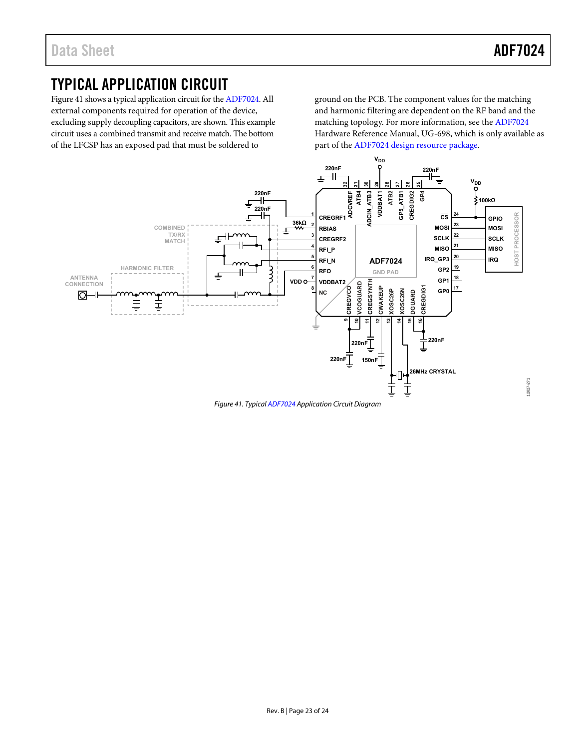12027-271

## <span id="page-22-0"></span>TYPICAL APPLICATION CIRCUIT

[Figure 41](#page-22-1) shows a typical application circuit for th[e ADF7024.](http://www.analog.com/ADF7024?doc=ADF7024.pdf) All external components required for operation of the device, excluding supply decoupling capacitors, are shown. This example circuit uses a combined transmit and receive match. The bottom of the LFCSP has an exposed pad that must be soldered to

ground on the PCB. The component values for the matching and harmonic filtering are dependent on the RF band and the matching topology. For more information, see the [ADF7024](http://www.analog.com/ADF7024?doc=ADF7024.pdf) Hardware Reference Manual, UG-698, which is only available as part of the [ADF7024 design resource package.](http://www.analog.com/adf7024-design-pkgs?doc=ADF7024.pdf) 



<span id="page-22-1"></span>